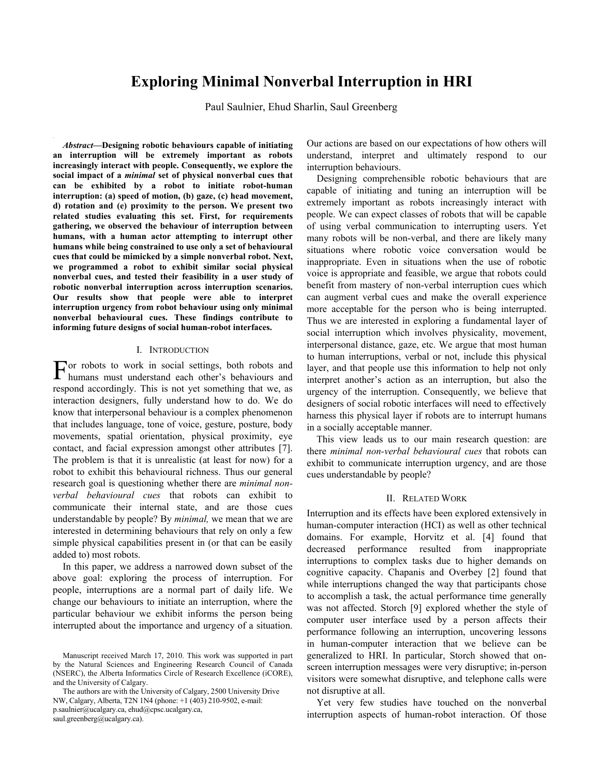# **Exploring Minimal Nonverbal Interruption in HRI**

Paul Saulnier, Ehud Sharlin, Saul Greenberg

*Abstract***—Designing robotic behaviours capable of initiating an interruption will be extremely important as robots increasingly interact with people. Consequently, we explore the social impact of a** *minimal* **set of physical nonverbal cues that can be exhibited by a robot to initiate robot-human interruption: (a) speed of motion, (b) gaze, (c) head movement, d) rotation and (e) proximity to the person. We present two related studies evaluating this set. First, for requirements gathering, we observed the behaviour of interruption between humans, with a human actor attempting to interrupt other humans while being constrained to use only a set of behavioural cues that could be mimicked by a simple nonverbal robot. Next, we programmed a robot to exhibit similar social physical nonverbal cues, and tested their feasibility in a user study of robotic nonverbal interruption across interruption scenarios. Our results show that people were able to interpret interruption urgency from robot behaviour using only minimal nonverbal behavioural cues. These findings contribute to informing future designs of social human-robot interfaces.**

#### I. INTRODUCTION

or robots to work in social settings, both robots and  $\Gamma$  or robots to work in social settings, both robots and humans must understand each other's behaviours and respond accordingly. This is not yet something that we, as interaction designers, fully understand how to do. We do know that interpersonal behaviour is a complex phenomenon that includes language, tone of voice, gesture, posture, body movements, spatial orientation, physical proximity, eye contact, and facial expression amongst other attributes [7]. The problem is that it is unrealistic (at least for now) for a robot to exhibit this behavioural richness. Thus our general research goal is questioning whether there are *minimal nonverbal behavioural cues* that robots can exhibit to communicate their internal state, and are those cues understandable by people? By *minimal,* we mean that we are interested in determining behaviours that rely on only a few simple physical capabilities present in (or that can be easily added to) most robots.

In this paper, we address a narrowed down subset of the above goal: exploring the process of interruption. For people, interruptions are a normal part of daily life. We change our behaviours to initiate an interruption, where the particular behaviour we exhibit informs the person being interrupted about the importance and urgency of a situation.

Our actions are based on our expectations of how others will understand, interpret and ultimately respond to our interruption behaviours.

Designing comprehensible robotic behaviours that are capable of initiating and tuning an interruption will be extremely important as robots increasingly interact with people. We can expect classes of robots that will be capable of using verbal communication to interrupting users. Yet many robots will be non-verbal, and there are likely many situations where robotic voice conversation would be inappropriate. Even in situations when the use of robotic voice is appropriate and feasible, we argue that robots could benefit from mastery of non-verbal interruption cues which can augment verbal cues and make the overall experience more acceptable for the person who is being interrupted. Thus we are interested in exploring a fundamental layer of social interruption which involves physicality, movement, interpersonal distance, gaze, etc. We argue that most human to human interruptions, verbal or not, include this physical layer, and that people use this information to help not only interpret another's action as an interruption, but also the urgency of the interruption. Consequently, we believe that designers of social robotic interfaces will need to effectively harness this physical layer if robots are to interrupt humans in a socially acceptable manner.

This view leads us to our main research question: are there *minimal non-verbal behavioural cues* that robots can exhibit to communicate interruption urgency, and are those cues understandable by people?

#### II. RELATED WORK

Interruption and its effects have been explored extensively in human-computer interaction (HCI) as well as other technical domains. For example, Horvitz et al. [4] found that decreased performance resulted from inappropriate interruptions to complex tasks due to higher demands on cognitive capacity. Chapanis and Overbey [2] found that while interruptions changed the way that participants chose to accomplish a task, the actual performance time generally was not affected. Storch [9] explored whether the style of computer user interface used by a person affects their performance following an interruption, uncovering lessons in human-computer interaction that we believe can be generalized to HRI. In particular, Storch showed that onscreen interruption messages were very disruptive; in-person visitors were somewhat disruptive, and telephone calls were not disruptive at all.

Yet very few studies have touched on the nonverbal interruption aspects of human-robot interaction. Of those

Manuscript received March 17, 2010. This work was supported in part by the Natural Sciences and Engineering Research Council of Canada (NSERC), the Alberta Informatics Circle of Research Excellence (iCORE), and the University of Calgary.

The authors are with the University of Calgary, 2500 University Drive NW, Calgary, Alberta, T2N 1N4 (phone: +1 (403) 210-9502, e-mail: p.saulnier@ucalgary.ca, ehud@cpsc.ucalgary.ca, saul.greenberg@ucalgary.ca).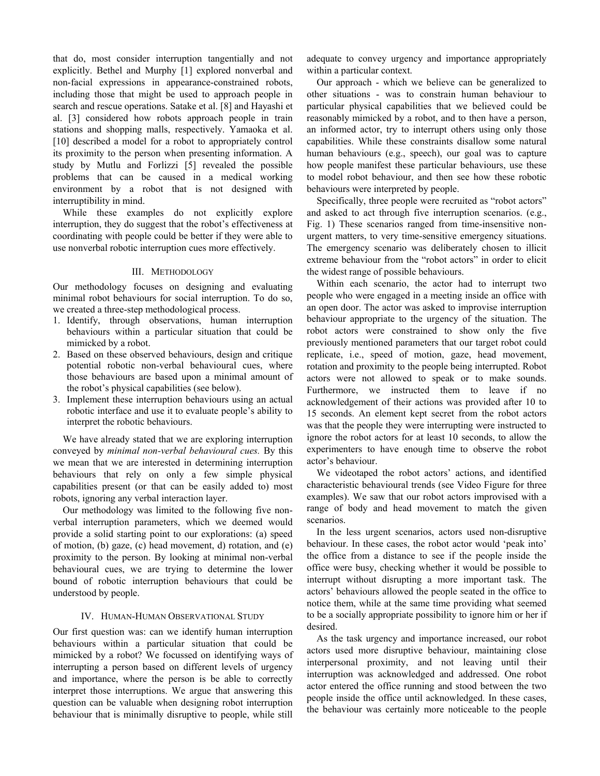that do, most consider interruption tangentially and not explicitly. Bethel and Murphy [1] explored nonverbal and non-facial expressions in appearance-constrained robots, including those that might be used to approach people in search and rescue operations. Satake et al. [8] and Hayashi et al. [3] considered how robots approach people in train stations and shopping malls, respectively. Yamaoka et al. [10] described a model for a robot to appropriately control its proximity to the person when presenting information. A study by Mutlu and Forlizzi [5] revealed the possible problems that can be caused in a medical working environment by a robot that is not designed with interruptibility in mind.

While these examples do not explicitly explore interruption, they do suggest that the robot's effectiveness at coordinating with people could be better if they were able to use nonverbal robotic interruption cues more effectively.

#### III. METHODOLOGY

Our methodology focuses on designing and evaluating minimal robot behaviours for social interruption. To do so, we created a three-step methodological process.

- 1. Identify, through observations, human interruption behaviours within a particular situation that could be mimicked by a robot.
- 2. Based on these observed behaviours, design and critique potential robotic non-verbal behavioural cues, where those behaviours are based upon a minimal amount of the robot's physical capabilities (see below).
- 3. Implement these interruption behaviours using an actual robotic interface and use it to evaluate people's ability to interpret the robotic behaviours.

We have already stated that we are exploring interruption conveyed by *minimal non-verbal behavioural cues.* By this we mean that we are interested in determining interruption behaviours that rely on only a few simple physical capabilities present (or that can be easily added to) most robots, ignoring any verbal interaction layer.

Our methodology was limited to the following five nonverbal interruption parameters, which we deemed would provide a solid starting point to our explorations: (a) speed of motion, (b) gaze, (c) head movement, d) rotation, and (e) proximity to the person. By looking at minimal non-verbal behavioural cues, we are trying to determine the lower bound of robotic interruption behaviours that could be understood by people.

## IV. HUMAN-HUMAN OBSERVATIONAL STUDY

Our first question was: can we identify human interruption behaviours within a particular situation that could be mimicked by a robot? We focussed on identifying ways of interrupting a person based on different levels of urgency and importance, where the person is be able to correctly interpret those interruptions. We argue that answering this question can be valuable when designing robot interruption behaviour that is minimally disruptive to people, while still

adequate to convey urgency and importance appropriately within a particular context.

Our approach - which we believe can be generalized to other situations - was to constrain human behaviour to particular physical capabilities that we believed could be reasonably mimicked by a robot, and to then have a person, an informed actor, try to interrupt others using only those capabilities. While these constraints disallow some natural human behaviours (e.g., speech), our goal was to capture how people manifest these particular behaviours, use these to model robot behaviour, and then see how these robotic behaviours were interpreted by people.

Specifically, three people were recruited as "robot actors" and asked to act through five interruption scenarios. (e.g., Fig. 1) These scenarios ranged from time-insensitive nonurgent matters, to very time-sensitive emergency situations. The emergency scenario was deliberately chosen to illicit extreme behaviour from the "robot actors" in order to elicit the widest range of possible behaviours.

Within each scenario, the actor had to interrupt two people who were engaged in a meeting inside an office with an open door. The actor was asked to improvise interruption behaviour appropriate to the urgency of the situation. The robot actors were constrained to show only the five previously mentioned parameters that our target robot could replicate, i.e., speed of motion, gaze, head movement, rotation and proximity to the people being interrupted. Robot actors were not allowed to speak or to make sounds. Furthermore, we instructed them to leave if no acknowledgement of their actions was provided after 10 to 15 seconds. An element kept secret from the robot actors was that the people they were interrupting were instructed to ignore the robot actors for at least 10 seconds, to allow the experimenters to have enough time to observe the robot actor's behaviour.

We videotaped the robot actors' actions, and identified characteristic behavioural trends (see Video Figure for three examples). We saw that our robot actors improvised with a range of body and head movement to match the given scenarios.

In the less urgent scenarios, actors used non-disruptive behaviour. In these cases, the robot actor would 'peak into' the office from a distance to see if the people inside the office were busy, checking whether it would be possible to interrupt without disrupting a more important task. The actors' behaviours allowed the people seated in the office to notice them, while at the same time providing what seemed to be a socially appropriate possibility to ignore him or her if desired.

As the task urgency and importance increased, our robot actors used more disruptive behaviour, maintaining close interpersonal proximity, and not leaving until their interruption was acknowledged and addressed. One robot actor entered the office running and stood between the two people inside the office until acknowledged. In these cases, the behaviour was certainly more noticeable to the people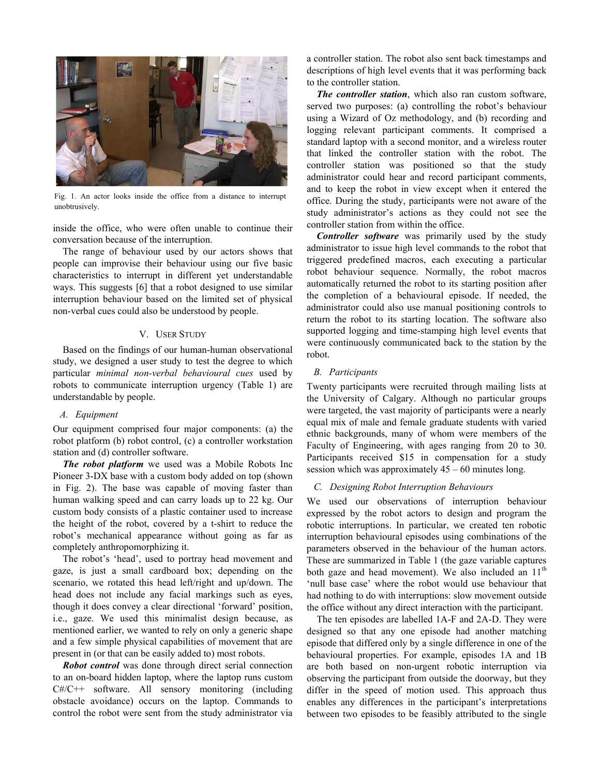

Fig. 1. An actor looks inside the office from a distance to interrupt unobtrusively.

inside the office, who were often unable to continue their conversation because of the interruption.

The range of behaviour used by our actors shows that people can improvise their behaviour using our five basic characteristics to interrupt in different yet understandable ways. This suggests [6] that a robot designed to use similar interruption behaviour based on the limited set of physical non-verbal cues could also be understood by people.

## V. USER STUDY

Based on the findings of our human-human observational study, we designed a user study to test the degree to which particular *minimal non-verbal behavioural cues* used by robots to communicate interruption urgency (Table 1) are understandable by people.

#### *A. Equipment*

Our equipment comprised four major components: (a) the robot platform (b) robot control, (c) a controller workstation station and (d) controller software.

*The robot platform* we used was a Mobile Robots Inc Pioneer 3-DX base with a custom body added on top (shown in Fig. 2). The base was capable of moving faster than human walking speed and can carry loads up to 22 kg. Our custom body consists of a plastic container used to increase the height of the robot, covered by a t-shirt to reduce the robot's mechanical appearance without going as far as completely anthropomorphizing it.

The robot's 'head', used to portray head movement and gaze, is just a small cardboard box; depending on the scenario, we rotated this head left/right and up/down. The head does not include any facial markings such as eyes, though it does convey a clear directional 'forward' position, i.e., gaze. We used this minimalist design because, as mentioned earlier, we wanted to rely on only a generic shape and a few simple physical capabilities of movement that are present in (or that can be easily added to) most robots.

*Robot control* was done through direct serial connection to an on-board hidden laptop, where the laptop runs custom C#/C++ software. All sensory monitoring (including obstacle avoidance) occurs on the laptop. Commands to control the robot were sent from the study administrator via a controller station. The robot also sent back timestamps and descriptions of high level events that it was performing back to the controller station.

*The controller station*, which also ran custom software, served two purposes: (a) controlling the robot's behaviour using a Wizard of Oz methodology, and (b) recording and logging relevant participant comments. It comprised a standard laptop with a second monitor, and a wireless router that linked the controller station with the robot. The controller station was positioned so that the study administrator could hear and record participant comments, and to keep the robot in view except when it entered the office. During the study, participants were not aware of the study administrator's actions as they could not see the controller station from within the office.

*Controller software* was primarily used by the study administrator to issue high level commands to the robot that triggered predefined macros, each executing a particular robot behaviour sequence. Normally, the robot macros automatically returned the robot to its starting position after the completion of a behavioural episode. If needed, the administrator could also use manual positioning controls to return the robot to its starting location. The software also supported logging and time-stamping high level events that were continuously communicated back to the station by the robot.

### *B. Participants*

Twenty participants were recruited through mailing lists at the University of Calgary. Although no particular groups were targeted, the vast majority of participants were a nearly equal mix of male and female graduate students with varied ethnic backgrounds, many of whom were members of the Faculty of Engineering, with ages ranging from 20 to 30. Participants received \$15 in compensation for a study session which was approximately  $45 - 60$  minutes long.

#### *C. Designing Robot Interruption Behaviours*

We used our observations of interruption behaviour expressed by the robot actors to design and program the robotic interruptions. In particular, we created ten robotic interruption behavioural episodes using combinations of the parameters observed in the behaviour of the human actors. These are summarized in Table 1 (the gaze variable captures both gaze and head movement). We also included an  $11<sup>th</sup>$ 'null base case' where the robot would use behaviour that had nothing to do with interruptions: slow movement outside the office without any direct interaction with the participant.

The ten episodes are labelled 1A-F and 2A-D. They were designed so that any one episode had another matching episode that differed only by a single difference in one of the behavioural properties. For example, episodes 1A and 1B are both based on non-urgent robotic interruption via observing the participant from outside the doorway, but they differ in the speed of motion used. This approach thus enables any differences in the participant's interpretations between two episodes to be feasibly attributed to the single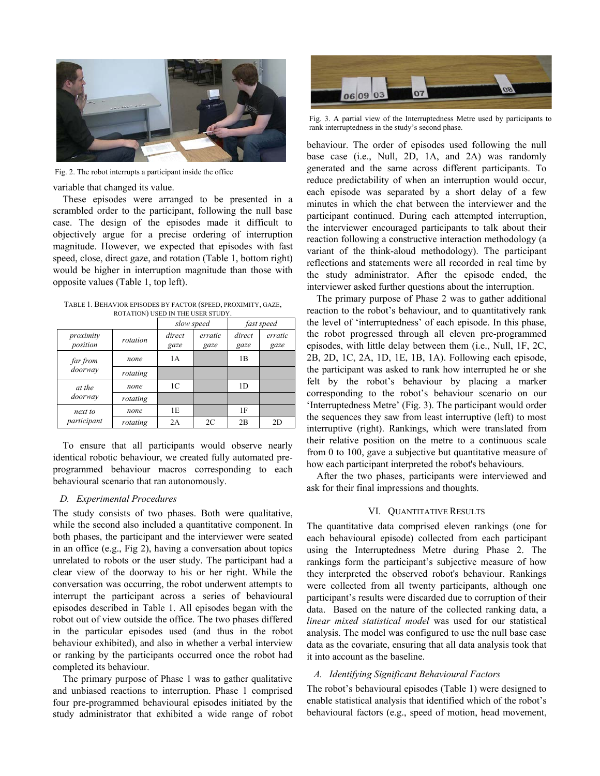

Fig. 2. The robot interrupts a participant inside the office

variable that changed its value.

These episodes were arranged to be presented in a scrambled order to the participant, following the null base case. The design of the episodes made it difficult to objectively argue for a precise ordering of interruption magnitude. However, we expected that episodes with fast speed, close, direct gaze, and rotation (Table 1, bottom right) would be higher in interruption magnitude than those with opposite values (Table 1, top left).

TABLE 1. BEHAVIOR EPISODES BY FACTOR (SPEED, PROXIMITY, GAZE, ROTATION) USED IN THE USER STUDY.

|                        |          | slow speed     |                 |                | fast speed      |
|------------------------|----------|----------------|-----------------|----------------|-----------------|
| proximity<br>position  | rotation | direct<br>gaze | erratic<br>gaze | direct<br>gaze | erratic<br>gaze |
| far from<br>doorway    | none     | 1 A            |                 | 1B             |                 |
|                        | rotating |                |                 |                |                 |
| at the<br>doorway      | none     | 1C             |                 | 1D             |                 |
|                        | rotating |                |                 |                |                 |
| next to<br>participant | none     | 1E             |                 | 1F             |                 |
|                        | rotating | 2A             | 2C              | 2B             | 2D              |

To ensure that all participants would observe nearly identical robotic behaviour, we created fully automated preprogrammed behaviour macros corresponding to each behavioural scenario that ran autonomously.

#### *D. Experimental Procedures*

The study consists of two phases. Both were qualitative, while the second also included a quantitative component. In both phases, the participant and the interviewer were seated in an office (e.g., Fig 2), having a conversation about topics unrelated to robots or the user study. The participant had a clear view of the doorway to his or her right. While the conversation was occurring, the robot underwent attempts to interrupt the participant across a series of behavioural episodes described in Table 1. All episodes began with the robot out of view outside the office. The two phases differed in the particular episodes used (and thus in the robot behaviour exhibited), and also in whether a verbal interview or ranking by the participants occurred once the robot had completed its behaviour.

The primary purpose of Phase 1 was to gather qualitative and unbiased reactions to interruption. Phase 1 comprised four pre-programmed behavioural episodes initiated by the study administrator that exhibited a wide range of robot



Fig. 3. A partial view of the Interruptedness Metre used by participants to rank interruptedness in the study's second phase.

behaviour. The order of episodes used following the null base case (i.e., Null, 2D, 1A, and 2A) was randomly generated and the same across different participants. To reduce predictability of when an interruption would occur, each episode was separated by a short delay of a few minutes in which the chat between the interviewer and the participant continued. During each attempted interruption, the interviewer encouraged participants to talk about their reaction following a constructive interaction methodology (a variant of the think-aloud methodology). The participant reflections and statements were all recorded in real time by the study administrator. After the episode ended, the interviewer asked further questions about the interruption.

The primary purpose of Phase 2 was to gather additional reaction to the robot's behaviour, and to quantitatively rank the level of 'interruptedness' of each episode. In this phase, the robot progressed through all eleven pre-programmed episodes, with little delay between them (i.e., Null, 1F, 2C, 2B, 2D, 1C, 2A, 1D, 1E, 1B, 1A). Following each episode, the participant was asked to rank how interrupted he or she felt by the robot's behaviour by placing a marker corresponding to the robot's behaviour scenario on our 'Interruptedness Metre' (Fig. 3). The participant would order the sequences they saw from least interruptive (left) to most interruptive (right). Rankings, which were translated from their relative position on the metre to a continuous scale from 0 to 100, gave a subjective but quantitative measure of how each participant interpreted the robot's behaviours.

After the two phases, participants were interviewed and ask for their final impressions and thoughts.

# VI. QUANTITATIVE RESULTS

The quantitative data comprised eleven rankings (one for each behavioural episode) collected from each participant using the Interruptedness Metre during Phase 2. The rankings form the participant's subjective measure of how they interpreted the observed robot's behaviour. Rankings were collected from all twenty participants, although one participant's results were discarded due to corruption of their data. Based on the nature of the collected ranking data, a *linear mixed statistical model* was used for our statistical analysis. The model was configured to use the null base case data as the covariate, ensuring that all data analysis took that it into account as the baseline.

## *A. Identifying Significant Behavioural Factors*

The robot's behavioural episodes (Table 1) were designed to enable statistical analysis that identified which of the robot's behavioural factors (e.g., speed of motion, head movement,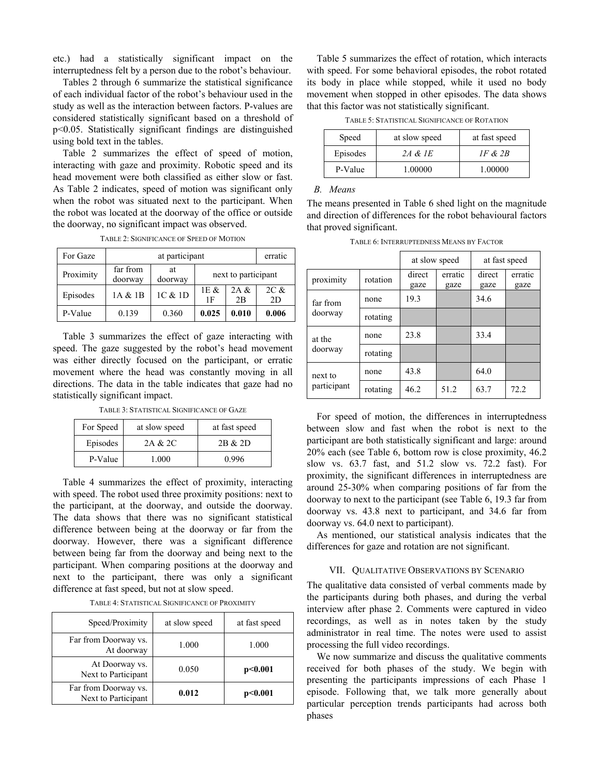etc.) had a statistically significant impact on the interruptedness felt by a person due to the robot's behaviour.

Tables 2 through 6 summarize the statistical significance of each individual factor of the robot's behaviour used in the study as well as the interaction between factors. P-values are considered statistically significant based on a threshold of p<0.05. Statistically significant findings are distinguished using bold text in the tables.

Table 2 summarizes the effect of speed of motion, interacting with gaze and proximity. Robotic speed and its head movement were both classified as either slow or fast. As Table 2 indicates, speed of motion was significant only when the robot was situated next to the participant. When the robot was located at the doorway of the office or outside the doorway, no significant impact was observed.

| For Gaze  | at participant      |               |                     |                        | erratic       |
|-----------|---------------------|---------------|---------------------|------------------------|---------------|
| Proximity | far from<br>doorway | at<br>doorway | next to participant |                        |               |
| Episodes  | 1A & 1B             | 1C & 1D       | $1E \&$<br>1F       | 2A &<br>2 <sub>B</sub> | $2C \&$<br>2D |
| P-Value   | 0.139               | 0.360         | 0.025               | 0.010                  | 0.006         |

TABLE 2: SIGNIFICANCE OF SPEED OF MOTION

Table 3 summarizes the effect of gaze interacting with speed. The gaze suggested by the robot's head movement was either directly focused on the participant, or erratic movement where the head was constantly moving in all directions. The data in the table indicates that gaze had no statistically significant impact.

TABLE 3: STATISTICAL SIGNIFICANCE OF GAZE

| For Speed | at slow speed | at fast speed |
|-----------|---------------|---------------|
| Episodes  | 2A & 2C       | 2B & 2D       |
| P-Value   | 1.000         | 0.996         |

Table 4 summarizes the effect of proximity, interacting with speed. The robot used three proximity positions: next to the participant, at the doorway, and outside the doorway. The data shows that there was no significant statistical difference between being at the doorway or far from the doorway. However, there was a significant difference between being far from the doorway and being next to the participant. When comparing positions at the doorway and next to the participant, there was only a significant difference at fast speed, but not at slow speed.

| Speed/Proximity                             | at slow speed | at fast speed |
|---------------------------------------------|---------------|---------------|
| Far from Doorway vs.<br>At doorway          | 1.000         | 1.000         |
| At Doorway vs.<br>Next to Participant       | 0.050         | p<0.001       |
| Far from Doorway vs.<br>Next to Participant | 0.012         | p<0.001       |

Table 5 summarizes the effect of rotation, which interacts with speed. For some behavioral episodes, the robot rotated its body in place while stopped, while it used no body movement when stopped in other episodes. The data shows that this factor was not statistically significant.

TABLE 5: STATISTICAL SIGNIFICANCE OF ROTATION

| Speed    | at slow speed          | at fast speed |
|----------|------------------------|---------------|
| Episodes | 2 <i>A</i> & <i>IE</i> | 1F & 2B       |
| P-Value  | 1.00000                | 1.00000       |

## *B. Means*

The means presented in Table 6 shed light on the magnitude and direction of differences for the robot behavioural factors that proved significant.

TABLE 6: INTERRUPTEDNESS MEANS BY FACTOR

|                        |          | at slow speed  |                 | at fast speed  |                 |
|------------------------|----------|----------------|-----------------|----------------|-----------------|
| proximity              | rotation | direct<br>gaze | erratic<br>gaze | direct<br>gaze | erratic<br>gaze |
| far from<br>doorway    | none     | 19.3           |                 | 34.6           |                 |
|                        | rotating |                |                 |                |                 |
| at the<br>doorway      | none     | 23.8           |                 | 33.4           |                 |
|                        | rotating |                |                 |                |                 |
| next to<br>participant | none     | 43.8           |                 | 64.0           |                 |
|                        | rotating | 46.2           | 51.2            | 63.7           | 72.2            |

For speed of motion, the differences in interruptedness between slow and fast when the robot is next to the participant are both statistically significant and large: around 20% each (see Table 6, bottom row is close proximity, 46.2 slow vs. 63.7 fast, and 51.2 slow vs. 72.2 fast). For proximity, the significant differences in interruptedness are around 25-30% when comparing positions of far from the doorway to next to the participant (see Table 6, 19.3 far from doorway vs. 43.8 next to participant, and 34.6 far from doorway vs. 64.0 next to participant).

As mentioned, our statistical analysis indicates that the differences for gaze and rotation are not significant.

## VII. QUALITATIVE OBSERVATIONS BY SCENARIO

The qualitative data consisted of verbal comments made by the participants during both phases, and during the verbal interview after phase 2. Comments were captured in video recordings, as well as in notes taken by the study administrator in real time. The notes were used to assist processing the full video recordings.

We now summarize and discuss the qualitative comments received for both phases of the study. We begin with presenting the participants impressions of each Phase 1 episode. Following that, we talk more generally about particular perception trends participants had across both phases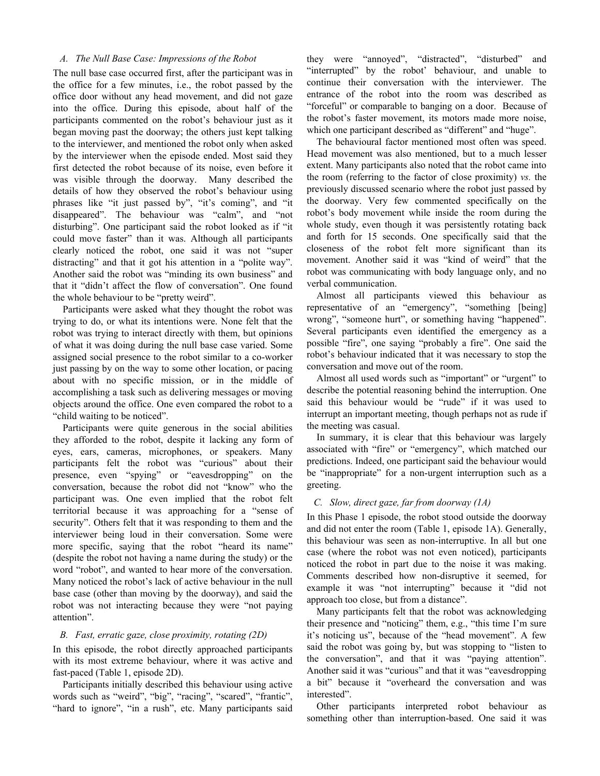## *A. The Null Base Case: Impressions of the Robot*

The null base case occurred first, after the participant was in the office for a few minutes, i.e., the robot passed by the office door without any head movement, and did not gaze into the office. During this episode, about half of the participants commented on the robot's behaviour just as it began moving past the doorway; the others just kept talking to the interviewer, and mentioned the robot only when asked by the interviewer when the episode ended. Most said they first detected the robot because of its noise, even before it was visible through the doorway. Many described the details of how they observed the robot's behaviour using phrases like "it just passed by", "it's coming", and "it disappeared". The behaviour was "calm", and "not disturbing". One participant said the robot looked as if "it could move faster" than it was. Although all participants clearly noticed the robot, one said it was not "super distracting" and that it got his attention in a "polite way". Another said the robot was "minding its own business" and that it "didn't affect the flow of conversation". One found the whole behaviour to be "pretty weird".

Participants were asked what they thought the robot was trying to do, or what its intentions were. None felt that the robot was trying to interact directly with them, but opinions of what it was doing during the null base case varied. Some assigned social presence to the robot similar to a co-worker just passing by on the way to some other location, or pacing about with no specific mission, or in the middle of accomplishing a task such as delivering messages or moving objects around the office. One even compared the robot to a "child waiting to be noticed".

Participants were quite generous in the social abilities they afforded to the robot, despite it lacking any form of eyes, ears, cameras, microphones, or speakers. Many participants felt the robot was "curious" about their presence, even "spying" or "eavesdropping" on the conversation, because the robot did not "know" who the participant was. One even implied that the robot felt territorial because it was approaching for a "sense of security". Others felt that it was responding to them and the interviewer being loud in their conversation. Some were more specific, saying that the robot "heard its name" (despite the robot not having a name during the study) or the word "robot", and wanted to hear more of the conversation. Many noticed the robot's lack of active behaviour in the null base case (other than moving by the doorway), and said the robot was not interacting because they were "not paying attention".

## *B. Fast, erratic gaze, close proximity, rotating (2D)*

In this episode, the robot directly approached participants with its most extreme behaviour, where it was active and fast-paced (Table 1, episode 2D).

Participants initially described this behaviour using active words such as "weird", "big", "racing", "scared", "frantic", "hard to ignore", "in a rush", etc. Many participants said

they were "annoyed", "distracted", "disturbed" and "interrupted" by the robot' behaviour, and unable to continue their conversation with the interviewer. The entrance of the robot into the room was described as "forceful" or comparable to banging on a door. Because of the robot's faster movement, its motors made more noise, which one participant described as "different" and "huge".

The behavioural factor mentioned most often was speed. Head movement was also mentioned, but to a much lesser extent. Many participants also noted that the robot came into the room (referring to the factor of close proximity) *vs.* the previously discussed scenario where the robot just passed by the doorway. Very few commented specifically on the robot's body movement while inside the room during the whole study, even though it was persistently rotating back and forth for 15 seconds. One specifically said that the closeness of the robot felt more significant than its movement. Another said it was "kind of weird" that the robot was communicating with body language only, and no verbal communication.

Almost all participants viewed this behaviour as representative of an "emergency", "something [being] wrong", "someone hurt", or something having "happened". Several participants even identified the emergency as a possible "fire", one saying "probably a fire". One said the robot's behaviour indicated that it was necessary to stop the conversation and move out of the room.

Almost all used words such as "important" or "urgent" to describe the potential reasoning behind the interruption. One said this behaviour would be "rude" if it was used to interrupt an important meeting, though perhaps not as rude if the meeting was casual.

In summary, it is clear that this behaviour was largely associated with "fire" or "emergency", which matched our predictions. Indeed, one participant said the behaviour would be "inappropriate" for a non-urgent interruption such as a greeting.

## *C. Slow, direct gaze, far from doorway (1A)*

In this Phase 1 episode, the robot stood outside the doorway and did not enter the room (Table 1, episode 1A). Generally, this behaviour was seen as non-interruptive. In all but one case (where the robot was not even noticed), participants noticed the robot in part due to the noise it was making. Comments described how non-disruptive it seemed, for example it was "not interrupting" because it "did not approach too close, but from a distance".

Many participants felt that the robot was acknowledging their presence and "noticing" them, e.g., "this time I'm sure it's noticing us", because of the "head movement". A few said the robot was going by, but was stopping to "listen to the conversation", and that it was "paying attention". Another said it was "curious" and that it was "eavesdropping a bit" because it "overheard the conversation and was interested".

Other participants interpreted robot behaviour as something other than interruption-based. One said it was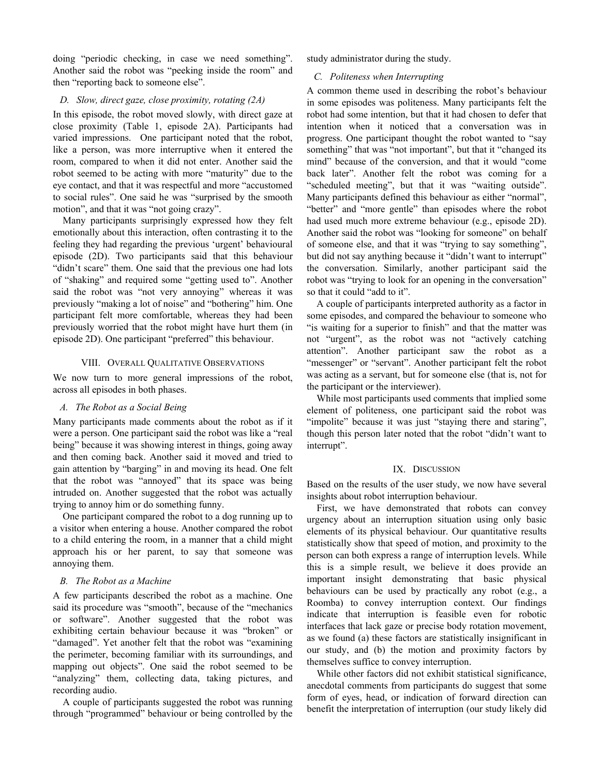doing "periodic checking, in case we need something". Another said the robot was "peeking inside the room" and then "reporting back to someone else".

## *D. Slow, direct gaze, close proximity, rotating (2A)*

In this episode, the robot moved slowly, with direct gaze at close proximity (Table 1, episode 2A). Participants had varied impressions. One participant noted that the robot, like a person, was more interruptive when it entered the room, compared to when it did not enter. Another said the robot seemed to be acting with more "maturity" due to the eye contact, and that it was respectful and more "accustomed to social rules". One said he was "surprised by the smooth motion", and that it was "not going crazy".

Many participants surprisingly expressed how they felt emotionally about this interaction, often contrasting it to the feeling they had regarding the previous 'urgent' behavioural episode (2D). Two participants said that this behaviour "didn't scare" them. One said that the previous one had lots of "shaking" and required some "getting used to". Another said the robot was "not very annoying" whereas it was previously "making a lot of noise" and "bothering" him. One participant felt more comfortable, whereas they had been previously worried that the robot might have hurt them (in episode 2D). One participant "preferred" this behaviour.

## VIII. OVERALL QUALITATIVE OBSERVATIONS

We now turn to more general impressions of the robot, across all episodes in both phases.

## *A. The Robot as a Social Being*

Many participants made comments about the robot as if it were a person. One participant said the robot was like a "real being" because it was showing interest in things, going away and then coming back. Another said it moved and tried to gain attention by "barging" in and moving its head. One felt that the robot was "annoyed" that its space was being intruded on. Another suggested that the robot was actually trying to annoy him or do something funny.

One participant compared the robot to a dog running up to a visitor when entering a house. Another compared the robot to a child entering the room, in a manner that a child might approach his or her parent, to say that someone was annoying them.

## *B. The Robot as a Machine*

A few participants described the robot as a machine. One said its procedure was "smooth", because of the "mechanics or software". Another suggested that the robot was exhibiting certain behaviour because it was "broken" or "damaged". Yet another felt that the robot was "examining the perimeter, becoming familiar with its surroundings, and mapping out objects". One said the robot seemed to be "analyzing" them, collecting data, taking pictures, and recording audio.

A couple of participants suggested the robot was running through "programmed" behaviour or being controlled by the study administrator during the study.

## *C. Politeness when Interrupting*

A common theme used in describing the robot's behaviour in some episodes was politeness. Many participants felt the robot had some intention, but that it had chosen to defer that intention when it noticed that a conversation was in progress. One participant thought the robot wanted to "say something" that was "not important", but that it "changed its mind" because of the conversion, and that it would "come back later". Another felt the robot was coming for a "scheduled meeting", but that it was "waiting outside". Many participants defined this behaviour as either "normal", "better" and "more gentle" than episodes where the robot had used much more extreme behaviour (e.g., episode 2D). Another said the robot was "looking for someone" on behalf of someone else, and that it was "trying to say something", but did not say anything because it "didn't want to interrupt" the conversation. Similarly, another participant said the robot was "trying to look for an opening in the conversation" so that it could "add to it".

A couple of participants interpreted authority as a factor in some episodes, and compared the behaviour to someone who "is waiting for a superior to finish" and that the matter was not "urgent", as the robot was not "actively catching attention". Another participant saw the robot as a "messenger" or "servant". Another participant felt the robot was acting as a servant, but for someone else (that is, not for the participant or the interviewer).

While most participants used comments that implied some element of politeness, one participant said the robot was "impolite" because it was just "staying there and staring", though this person later noted that the robot "didn't want to interrupt".

# IX. DISCUSSION

Based on the results of the user study, we now have several insights about robot interruption behaviour.

First, we have demonstrated that robots can convey urgency about an interruption situation using only basic elements of its physical behaviour. Our quantitative results statistically show that speed of motion, and proximity to the person can both express a range of interruption levels. While this is a simple result, we believe it does provide an important insight demonstrating that basic physical behaviours can be used by practically any robot (e.g., a Roomba) to convey interruption context. Our findings indicate that interruption is feasible even for robotic interfaces that lack gaze or precise body rotation movement, as we found (a) these factors are statistically insignificant in our study, and (b) the motion and proximity factors by themselves suffice to convey interruption.

While other factors did not exhibit statistical significance, anecdotal comments from participants do suggest that some form of eyes, head, or indication of forward direction can benefit the interpretation of interruption (our study likely did